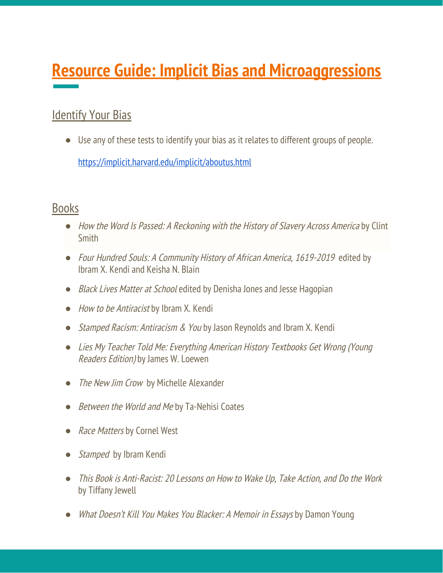# **Resource Guide: Implicit Bias and Microaggressions**

# **Identify Your Bias**

● Use any of these tests to identify your bias as it relates to different groups of people. <https://implicit.harvard.edu/implicit/aboutus.html>

# Books

- How the Word Is Passed: A [Reckoning](https://bookshop.org/a/7256/9780316492935) with the History of Slavery Across America by Clint **Smith**
- *●* Four Hundred Souls: A Community History of African America, 1619-2019 edited by Ibram X. Kendi and Keisha N. Blain
- *●* Black Lives Matter at School edited by Denisha Jones and Jesse Hagopian
- How to be Antiracist by Ibram X. Kendi
- *Stamped Racism: Antiracism & You* by Jason Reynolds and Ibram X. Kendi
- Lies My Teacher Told Me: Everything American History Textbooks Get Wrong (Young Readers Edition) by James W. Loewen
- The New Jim Crow by Michelle Alexander
- *Between the World and Me by Ta-Nehisi Coates*
- Race Matters by Cornel West
- Stamped by Ibram Kendi
- This Book is Anti-Racist: 20 Lessons on How to Wake Up, Take Action, and Do the Work by Tiffany Jewell
- What Doesn't Kill You Makes You Blacker: A Memoir in Essays by Damon Young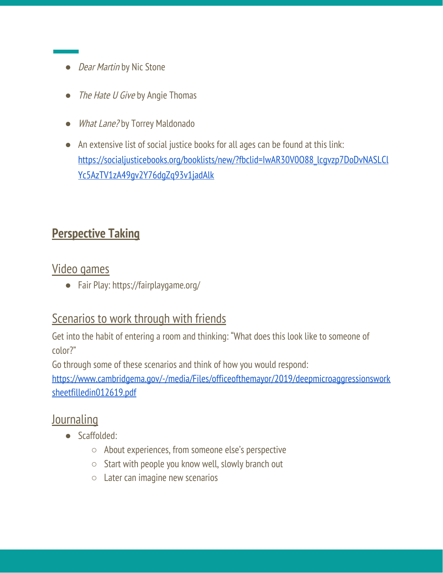- *Dear Martin* by Nic Stone
- The Hate U Give by Angie Thomas
- *What Lane?* by Torrey Maldonado
- An extensive list of social justice books for all ages can be found at this link: [https://socialjusticebooks.org/booklists/new/?fbclid=IwAR30V0O88\\_lcgvzp7DoDvNASLCl](https://socialjusticebooks.org/booklists/new/?fbclid=IwAR30V0O88_lcgvzp7DoDvNASLClYc5AzTV1zA49gv2Y76dgZq93v1jadAlk) [Yc5AzTV1zA49gv2Y76dgZq93v1jadAlk](https://socialjusticebooks.org/booklists/new/?fbclid=IwAR30V0O88_lcgvzp7DoDvNASLClYc5AzTV1zA49gv2Y76dgZq93v1jadAlk)

# **Perspective Taking**

#### Video games

● Fair Play: https://fairplaygame.org/

# Scenarios to work through with friends

Get into the habit of entering a room and thinking: "What does this look like to someone of color?"

Go through some of these scenarios and think of how you would respond:

[https://www.cambridgema.gov/-/media/Files/officeofthemayor/2019/deepmicroaggressionswork](https://www.cambridgema.gov/-/media/Files/officeofthemayor/2019/deepmicroaggressionsworksheetfilledin012619.pdf) [sheetfilledin012619.pdf](https://www.cambridgema.gov/-/media/Files/officeofthemayor/2019/deepmicroaggressionsworksheetfilledin012619.pdf)

# **Journaling**

- Scaffolded:
	- About experiences, from someone else's perspective
	- Start with people you know well, slowly branch out
	- Later can imagine new scenarios